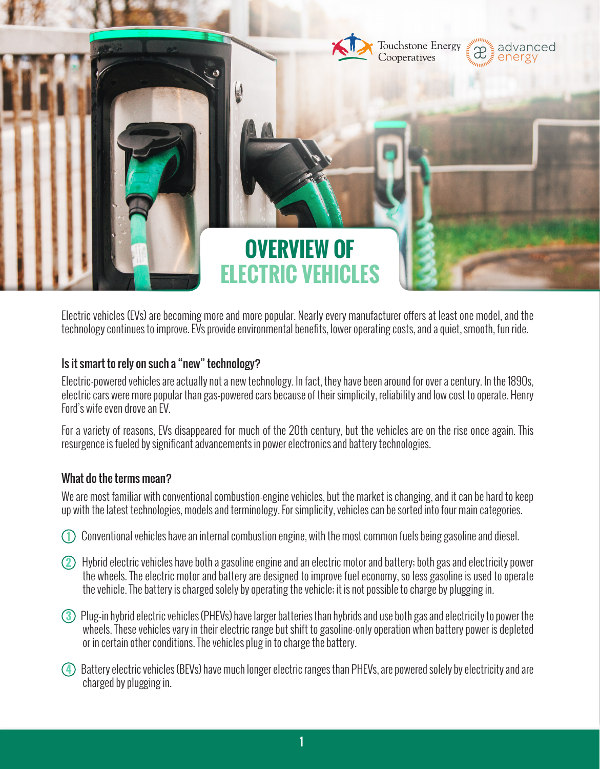

Electric vehicles (EVs) are becoming more and more popular. Nearly every manufacturer offers at least one model, and the technology continues to improve. EVs provide environmental benefits, lower operating costs, and a quiet, smooth, fun ride.

# Is it smart to rely on such a "new" technology?

Electric-powered vehicles are actually not a new technology. In fact, they have been around for over a century. In the 1890s, electric cars were more popular than gas-powered cars because of their simplicity, reliability and low cost to operate. Henry Ford's wife even drove an EV.

For a variety of reasons, EVs disappeared for much of the 20th century, but the vehicles are on the rise once again. This resurgence is fueled by significant advancements in power electronics and battery technologies.

### What do the terms mean?

We are most familiar with conventional combustion-engine vehicles, but the market is changing, and it can be hard to keep up with the latest technologies, models and terminology. For simplicity, vehicles can be sorted into four main categories.

- **1** Conventional vehicles have an internal combustion engine, with the most common fuels being gasoline and diesel.
- **2** Hybrid electric vehicles have both a gasoline engine and an electric motor and battery; both gas and electricity power the wheels. The electric motor and battery are designed to improve fuel economy, so less gasoline is used to operate the vehicle. The battery is charged solely by operating the vehicle; it is not possible to charge by plugging in.
- **3** Plug-in hybrid electric vehicles (PHEVs) have larger batteries than hybrids and use both gas and electricity to power the wheels. These vehicles vary in their electric range but shift to gasoline-only operation when battery power is depleted or in certain other conditions. The vehicles plug in to charge the battery.
- **4** Battery electric vehicles (BEVs) have much longer electric ranges than PHEVs, are powered solely by electricity and are charged by plugging in.